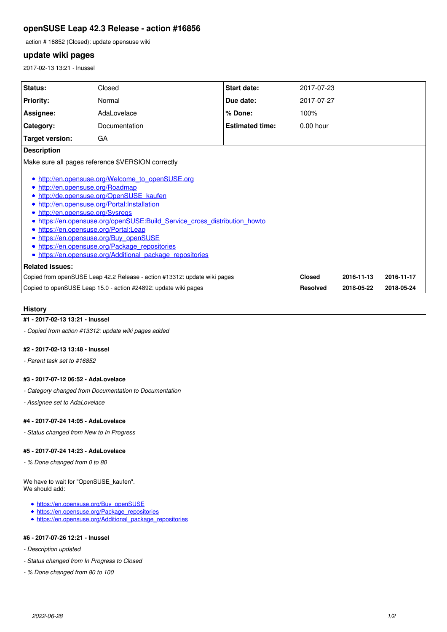# **openSUSE Leap 42.3 Release - action #16856**

action # 16852 (Closed): update opensuse wiki

# **update wiki pages**

2017-02-13 13:21 - lnussel

| <b>Status:</b>                                                                                                                                                                                                                                                                                                                                                                                                                                                                    | Closed        | <b>Start date:</b>     | 2017-07-23      |            |            |
|-----------------------------------------------------------------------------------------------------------------------------------------------------------------------------------------------------------------------------------------------------------------------------------------------------------------------------------------------------------------------------------------------------------------------------------------------------------------------------------|---------------|------------------------|-----------------|------------|------------|
| <b>Priority:</b>                                                                                                                                                                                                                                                                                                                                                                                                                                                                  | Normal        | Due date:              | 2017-07-27      |            |            |
| Assignee:                                                                                                                                                                                                                                                                                                                                                                                                                                                                         | AdaLovelace   | % Done:                | 100%            |            |            |
| Category:                                                                                                                                                                                                                                                                                                                                                                                                                                                                         | Documentation | <b>Estimated time:</b> | $0.00$ hour     |            |            |
| Target version:                                                                                                                                                                                                                                                                                                                                                                                                                                                                   | GA            |                        |                 |            |            |
| <b>Description</b>                                                                                                                                                                                                                                                                                                                                                                                                                                                                |               |                        |                 |            |            |
| Make sure all pages reference \$VERSION correctly                                                                                                                                                                                                                                                                                                                                                                                                                                 |               |                        |                 |            |            |
| http://en.opensuse.org/Welcome_to_openSUSE.org<br>http://en.opensuse.org/Roadmap<br>http://de.opensuse.org/OpenSUSE kaufen<br>http://en.opensuse.org/Portal:Installation<br>http://en.opensuse.org/Sysregs<br>https://en.opensuse.org/openSUSE:Build Service cross distribution howto<br>https://en.opensuse.org/Portal:Leap<br>https://en.opensuse.org/Buy_openSUSE<br>https://en.opensuse.org/Package_repositories<br>• https://en.opensuse.org/Additional package repositories |               |                        |                 |            |            |
| <b>Related issues:</b>                                                                                                                                                                                                                                                                                                                                                                                                                                                            |               |                        |                 |            |            |
| Copied from openSUSE Leap 42.2 Release - action #13312: update wiki pages                                                                                                                                                                                                                                                                                                                                                                                                         |               |                        | <b>Closed</b>   | 2016-11-13 | 2016-11-17 |
| Copied to openSUSE Leap 15.0 - action #24892: update wiki pages                                                                                                                                                                                                                                                                                                                                                                                                                   |               |                        | <b>Resolved</b> | 2018-05-22 | 2018-05-24 |
|                                                                                                                                                                                                                                                                                                                                                                                                                                                                                   |               |                        |                 |            |            |

### **History**

### **#1 - 2017-02-13 13:21 - lnussel**

*- Copied from action #13312: update wiki pages added*

#### **#2 - 2017-02-13 13:48 - lnussel**

*- Parent task set to #16852*

#### **#3 - 2017-07-12 06:52 - AdaLovelace**

*- Category changed from Documentation to Documentation*

*- Assignee set to AdaLovelace*

#### **#4 - 2017-07-24 14:05 - AdaLovelace**

*- Status changed from New to In Progress*

#### **#5 - 2017-07-24 14:23 - AdaLovelace**

*- % Done changed from 0 to 80*

We have to wait for "OpenSUSE\_kaufen". We should add:

- [https://en.opensuse.org/Buy\\_openSUSE](https://en.opensuse.org/Buy_openSUSE)
- [https://en.opensuse.org/Package\\_repositories](https://en.opensuse.org/Package_repositories)
- [https://en.opensuse.org/Additional\\_package\\_repositories](https://en.opensuse.org/Additional_package_repositories)

## **#6 - 2017-07-26 12:21 - lnussel**

- *Description updated*
- *Status changed from In Progress to Closed*
- *% Done changed from 80 to 100*